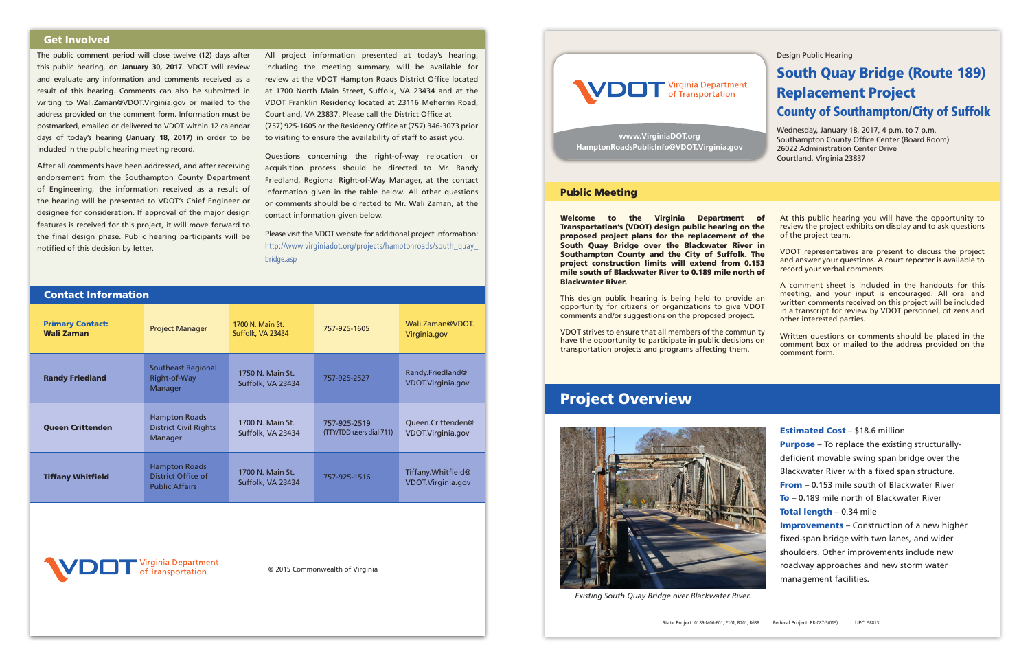Design Public Hearing

# South Quay Bridge (Route 189) Replacement Project County of Southampton/City of Suffolk

Wednesday, January 18, 2017, 4 p.m. to 7 p.m. Southampton County Office Center (Board Room) 26022 Administration Center Drive Courtland, Virginia 23837



Welcome to the Virginia Department of Transportation's (VDOT) design public hearing on the proposed project plans for the replacement of the South Quay Bridge over the Blackwater River in Southampton County and the City of Suffolk. The project construction limits will extend from 0.153 mile south of Blackwater River to 0.189 mile north of Blackwater River. At this public hearing you will have the opportunity to review the project exhibits on display and to ask questions of the project team. VDOT representatives are present to discuss the project and answer your questions. A court reporter is available to record your verbal comments.

This design public hearing is being held to provide an opportunity for citizens or organizations to give VDOT comments and/or suggestions on the proposed project. A comment sheet is included in the handouts for this meeting, and your input is encouraged. All oral and written comments received on this project will be included in a transcript for review by VDOT personnel, citizens and other interested parties.

VDOT strives to ensure that all members of the community have the opportunity to participate in public decisions on transportation projects and programs affecting them. Written questions or comments should be placed in the comment box or mailed to the address provided on the comment form.

## Public Meeting

# Project Overview

**www.VirginiaDOT.org HamptonRoadsPublicInfo@VDOT.Virginia.gov**

© 2015 Commonwealth of Virginia



The public comment period will close twelve (12) days after this public hearing, on **January 30, 2017**. VDOT will review and evaluate any information and comments received as a result of this hearing. Comments can also be submitted in writing to Wali.Zaman@VDOT.Virginia.gov or mailed to the address provided on the comment form. Information must be postmarked, emailed or delivered to VDOT within 12 calendar days of today's hearing (**January 18, 2017**) in order to be included in the public hearing meeting record.

> Purpose – To replace the existing structurallydeficient movable swing span bridge over the Blackwater River with a fixed span structure. **From** – 0.153 mile south of Blackwater River To – 0.189 mile north of Blackwater River Total length - 0.34 mile

After all comments have been addressed, and after receiving endorsement from the Southampton County Department of Engineering, the information received as a result of the hearing will be presented to VDOT's Chief Engineer or designee for consideration. If approval of the major design features is received for this project, it will move forward to the final design phase. Public hearing participants will be notified of this decision by letter.

All project information presented at today's hearing, including the meeting summary, will be available for review at the VDOT Hampton Roads District Office located at 1700 North Main Street, Suffolk, VA 23434 and at the VDOT Franklin Residency located at 23116 Meherrin Road, Courtland, VA 23837. Please call the District Office at (757) 925-1605 or the Residency Office at (757) 346-3073 prior to visiting to ensure the availability of staff to assist you.

Questions concerning the right-of-way relocation or acquisition process should be directed to Mr. Randy Friedland, Regional Right-of-Way Manager, at the contact information given in the table below. All other questions or comments should be directed to Mr. Wali Zaman, at the contact information given below.

Please visit the VDOT website for additional project information: http://www.virginiadot.org/projects/hamptonroads/south\_quay\_ bridge.asp

# Get Involved

| <b>Contact Information</b>                   |                                                                     |                                       |                                          |                                         |
|----------------------------------------------|---------------------------------------------------------------------|---------------------------------------|------------------------------------------|-----------------------------------------|
| <b>Primary Contact:</b><br><b>Wali Zaman</b> | <b>Project Manager</b>                                              | 1700 N. Main St.<br>Suffolk, VA 23434 | 757-925-1605                             | Wali.Zaman@VDOT.<br>Virginia.gov        |
| <b>Randy Friedland</b>                       | <b>Southeast Regional</b><br>Right-of-Way<br>Manager                | 1750 N. Main St.<br>Suffolk, VA 23434 | 757-925-2527                             | Randy.Friedland@<br>VDOT.Virginia.gov   |
| <b>Queen Crittenden</b>                      | <b>Hampton Roads</b><br><b>District Civil Rights</b><br>Manager     | 1700 N. Main St.<br>Suffolk, VA 23434 | 757-925-2519<br>(TTY/TDD users dial 711) | Queen.Crittenden@<br>VDOT.Virginia.gov  |
| <b>Tiffany Whitfield</b>                     | <b>Hampton Roads</b><br>District Office of<br><b>Public Affairs</b> | 1700 N. Main St.<br>Suffolk, VA 23434 | 757-925-1516                             | Tiffany.Whitfield@<br>VDOT.Virginia.gov |
|                                              |                                                                     |                                       |                                          |                                         |

irginia Department

### Estimated Cost – \$18.6 million

Improvements – Construction of a new higher fixed-span bridge with two lanes, and wider shoulders. Other improvements include new roadway approaches and new storm water management facilities.



*Existing South Quay Bridge over Blackwater River.*